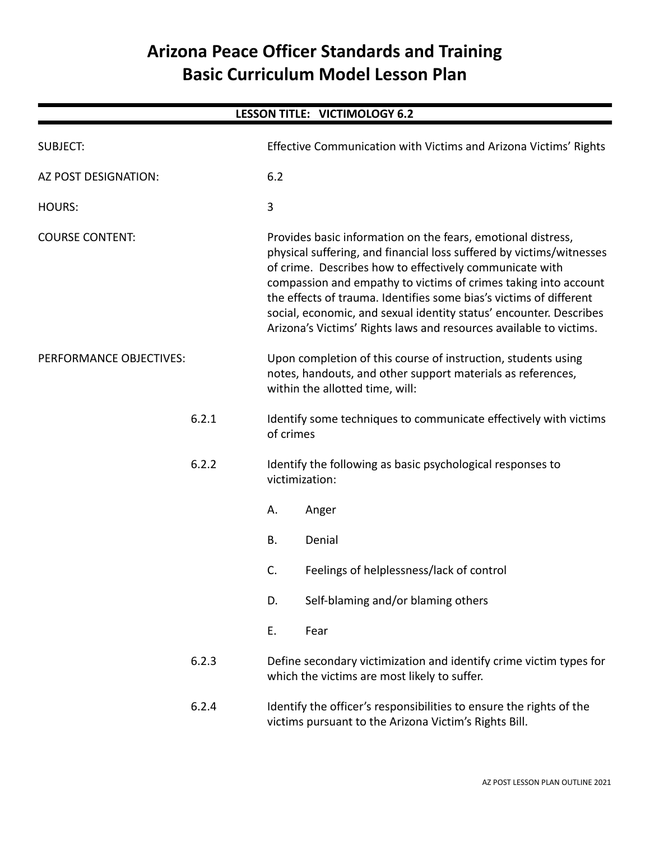# **Arizona Peace Officer Standards and Training Basic Curriculum Model Lesson Plan**

| LESSON TITLE: VICTIMOLOGY 6.2 |       |                                                                                                                                                                                                                                                                                                                                                                                                                                                                                      |  |  |  |  |  |
|-------------------------------|-------|--------------------------------------------------------------------------------------------------------------------------------------------------------------------------------------------------------------------------------------------------------------------------------------------------------------------------------------------------------------------------------------------------------------------------------------------------------------------------------------|--|--|--|--|--|
| <b>SUBJECT:</b>               |       | Effective Communication with Victims and Arizona Victims' Rights                                                                                                                                                                                                                                                                                                                                                                                                                     |  |  |  |  |  |
| AZ POST DESIGNATION:          |       | 6.2                                                                                                                                                                                                                                                                                                                                                                                                                                                                                  |  |  |  |  |  |
| <b>HOURS:</b>                 |       | 3                                                                                                                                                                                                                                                                                                                                                                                                                                                                                    |  |  |  |  |  |
| <b>COURSE CONTENT:</b>        |       | Provides basic information on the fears, emotional distress,<br>physical suffering, and financial loss suffered by victims/witnesses<br>of crime. Describes how to effectively communicate with<br>compassion and empathy to victims of crimes taking into account<br>the effects of trauma. Identifies some bias's victims of different<br>social, economic, and sexual identity status' encounter. Describes<br>Arizona's Victims' Rights laws and resources available to victims. |  |  |  |  |  |
| PERFORMANCE OBJECTIVES:       |       | Upon completion of this course of instruction, students using<br>notes, handouts, and other support materials as references,<br>within the allotted time, will:                                                                                                                                                                                                                                                                                                                      |  |  |  |  |  |
| 6.2.1                         |       | Identify some techniques to communicate effectively with victims<br>of crimes                                                                                                                                                                                                                                                                                                                                                                                                        |  |  |  |  |  |
|                               | 6.2.2 | Identify the following as basic psychological responses to<br>victimization:                                                                                                                                                                                                                                                                                                                                                                                                         |  |  |  |  |  |
|                               |       | Α.<br>Anger                                                                                                                                                                                                                                                                                                                                                                                                                                                                          |  |  |  |  |  |
|                               |       | <b>B.</b><br>Denial                                                                                                                                                                                                                                                                                                                                                                                                                                                                  |  |  |  |  |  |
|                               |       | C.<br>Feelings of helplessness/lack of control                                                                                                                                                                                                                                                                                                                                                                                                                                       |  |  |  |  |  |
|                               |       | D.<br>Self-blaming and/or blaming others                                                                                                                                                                                                                                                                                                                                                                                                                                             |  |  |  |  |  |
|                               |       | Ε.<br>Fear                                                                                                                                                                                                                                                                                                                                                                                                                                                                           |  |  |  |  |  |
| 6.2.3                         |       | Define secondary victimization and identify crime victim types for<br>which the victims are most likely to suffer.                                                                                                                                                                                                                                                                                                                                                                   |  |  |  |  |  |
| 6.2.4                         |       | Identify the officer's responsibilities to ensure the rights of the<br>victims pursuant to the Arizona Victim's Rights Bill.                                                                                                                                                                                                                                                                                                                                                         |  |  |  |  |  |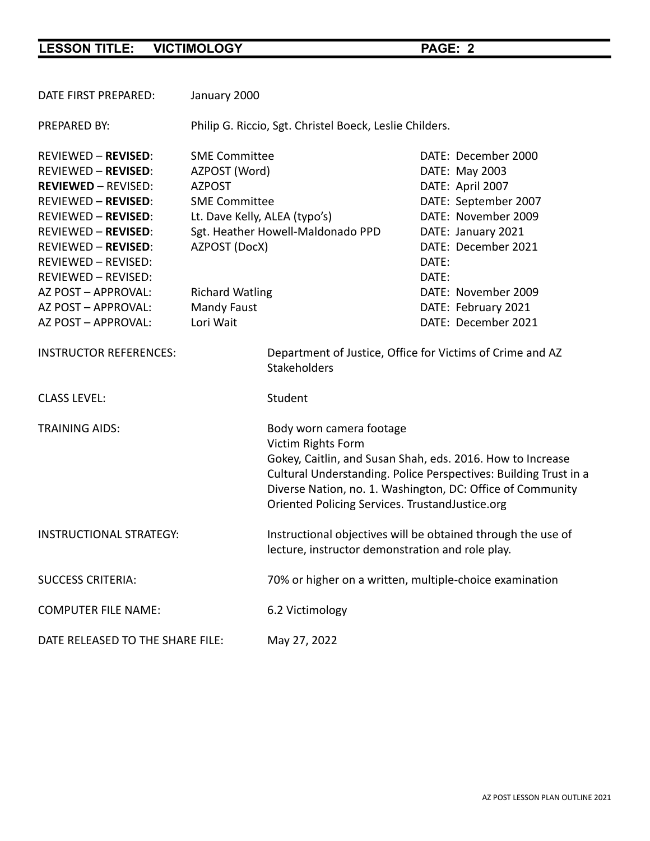| DATE FIRST PREPARED:                                                                                                                                                                                                                                                                | January 2000                                                                                                                                                                                    |                                                                                                                                                                                                                                                                                                   |                |                                                                                                                                                                              |  |
|-------------------------------------------------------------------------------------------------------------------------------------------------------------------------------------------------------------------------------------------------------------------------------------|-------------------------------------------------------------------------------------------------------------------------------------------------------------------------------------------------|---------------------------------------------------------------------------------------------------------------------------------------------------------------------------------------------------------------------------------------------------------------------------------------------------|----------------|------------------------------------------------------------------------------------------------------------------------------------------------------------------------------|--|
| <b>PREPARED BY:</b>                                                                                                                                                                                                                                                                 | Philip G. Riccio, Sgt. Christel Boeck, Leslie Childers.                                                                                                                                         |                                                                                                                                                                                                                                                                                                   |                |                                                                                                                                                                              |  |
| <b>REVIEWED - REVISED:</b><br><b>REVIEWED - REVISED:</b><br><b>REVIEWED - REVISED:</b><br><b>REVIEWED - REVISED:</b><br><b>REVIEWED - REVISED:</b><br><b>REVIEWED - REVISED:</b><br><b>REVIEWED - REVISED:</b><br>REVIEWED - REVISED:<br>REVIEWED - REVISED:<br>AZ POST - APPROVAL: | <b>SME Committee</b><br>AZPOST (Word)<br><b>AZPOST</b><br><b>SME Committee</b><br>Lt. Dave Kelly, ALEA (typo's)<br>Sgt. Heather Howell-Maldonado PPD<br>AZPOST (DocX)<br><b>Richard Watling</b> |                                                                                                                                                                                                                                                                                                   | DATE:<br>DATE: | DATE: December 2000<br>DATE: May 2003<br>DATE: April 2007<br>DATE: September 2007<br>DATE: November 2009<br>DATE: January 2021<br>DATE: December 2021<br>DATE: November 2009 |  |
| AZ POST - APPROVAL:                                                                                                                                                                                                                                                                 | Mandy Faust                                                                                                                                                                                     |                                                                                                                                                                                                                                                                                                   |                | DATE: February 2021                                                                                                                                                          |  |
| AZ POST - APPROVAL:                                                                                                                                                                                                                                                                 | Lori Wait                                                                                                                                                                                       |                                                                                                                                                                                                                                                                                                   |                | DATE: December 2021                                                                                                                                                          |  |
| <b>INSTRUCTOR REFERENCES:</b><br><b>CLASS LEVEL:</b>                                                                                                                                                                                                                                |                                                                                                                                                                                                 | Department of Justice, Office for Victims of Crime and AZ<br><b>Stakeholders</b><br>Student                                                                                                                                                                                                       |                |                                                                                                                                                                              |  |
| <b>TRAINING AIDS:</b>                                                                                                                                                                                                                                                               |                                                                                                                                                                                                 | Body worn camera footage<br>Victim Rights Form<br>Gokey, Caitlin, and Susan Shah, eds. 2016. How to Increase<br>Cultural Understanding. Police Perspectives: Building Trust in a<br>Diverse Nation, no. 1. Washington, DC: Office of Community<br>Oriented Policing Services. TrustandJustice.org |                |                                                                                                                                                                              |  |
| <b>INSTRUCTIONAL STRATEGY:</b>                                                                                                                                                                                                                                                      |                                                                                                                                                                                                 | Instructional objectives will be obtained through the use of<br>lecture, instructor demonstration and role play.                                                                                                                                                                                  |                |                                                                                                                                                                              |  |
| <b>SUCCESS CRITERIA:</b>                                                                                                                                                                                                                                                            |                                                                                                                                                                                                 | 70% or higher on a written, multiple-choice examination                                                                                                                                                                                                                                           |                |                                                                                                                                                                              |  |
| <b>COMPUTER FILE NAME:</b>                                                                                                                                                                                                                                                          |                                                                                                                                                                                                 | 6.2 Victimology                                                                                                                                                                                                                                                                                   |                |                                                                                                                                                                              |  |
| DATE RELEASED TO THE SHARE FILE:                                                                                                                                                                                                                                                    |                                                                                                                                                                                                 | May 27, 2022                                                                                                                                                                                                                                                                                      |                |                                                                                                                                                                              |  |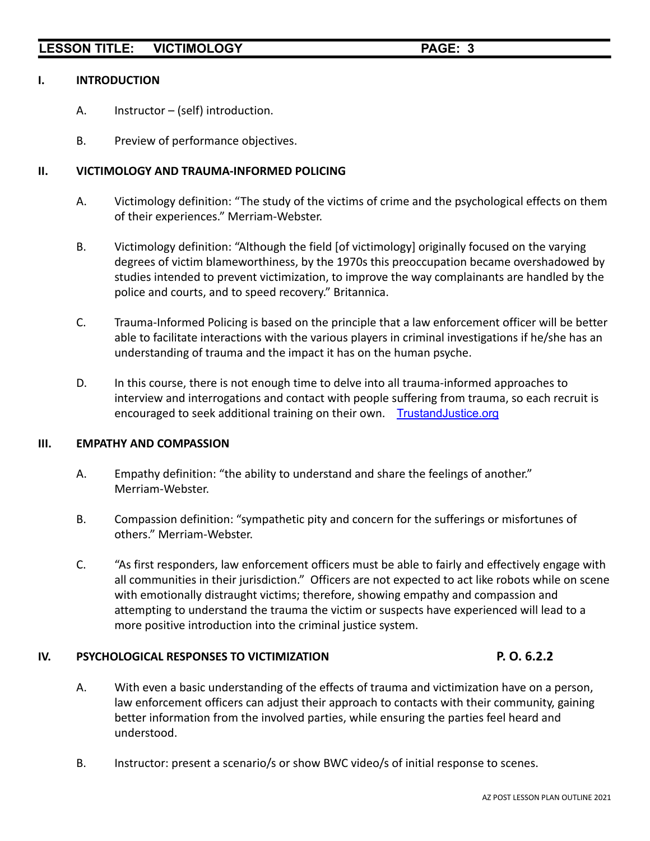#### **I. INTRODUCTION**

- A. Instructor (self) introduction.
- B. Preview of performance objectives.

#### **II. VICTIMOLOGY AND TRAUMA-INFORMED POLICING**

- A. Victimology definition: "The study of the victims of crime and the psychological effects on them of their experiences." Merriam-Webster.
- B. Victimology definition: "Although the field [of victimology] originally focused on the varying degrees of victim blameworthiness, by the 1970s this preoccupation became overshadowed by studies intended to prevent victimization, to improve the way complainants are handled by the police and courts, and to speed recovery." Britannica.
- C. Trauma-Informed Policing is based on the principle that a law enforcement officer will be better able to facilitate interactions with the various players in criminal investigations if he/she has an understanding of trauma and the impact it has on the human psyche.
- D. In this course, there is not enough time to delve into all trauma-informed approaches to interview and interrogations and contact with people suffering from trauma, so each recruit is encouraged to seek additional training on their own. [TrustandJustice.org](https://s3.trustandjustice.org/misc/COPS_CulturalUnderstanding.pdf)

#### **III. EMPATHY AND COMPASSION**

- A. Empathy definition: "the ability to understand and share the feelings of another." Merriam-Webster.
- B. Compassion definition: "sympathetic pity and concern for the sufferings or misfortunes of others." Merriam-Webster.
- C. "As first responders, law enforcement officers must be able to fairly and effectively engage with all communities in their jurisdiction." Officers are not expected to act like robots while on scene with emotionally distraught victims; therefore, showing empathy and compassion and attempting to understand the trauma the victim or suspects have experienced will lead to a more positive introduction into the criminal justice system.

#### **IV. PSYCHOLOGICAL RESPONSES TO VICTIMIZATION P. O. 6.2.2**

- A. With even a basic understanding of the effects of trauma and victimization have on a person, law enforcement officers can adjust their approach to contacts with their community, gaining better information from the involved parties, while ensuring the parties feel heard and understood.
- B. Instructor: present a scenario/s or show BWC video/s of initial response to scenes.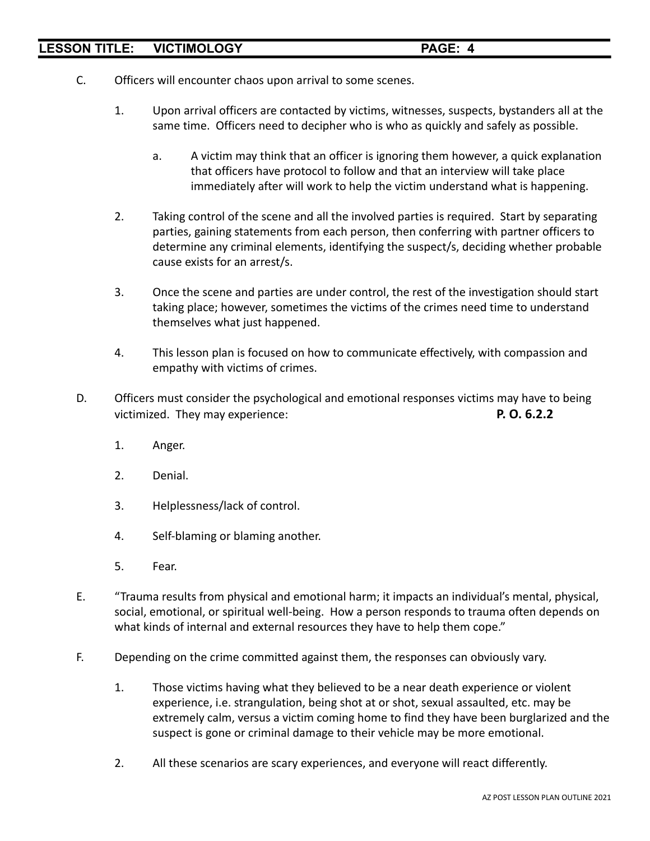- C. Officers will encounter chaos upon arrival to some scenes.
	- 1. Upon arrival officers are contacted by victims, witnesses, suspects, bystanders all at the same time. Officers need to decipher who is who as quickly and safely as possible.
		- a. A victim may think that an officer is ignoring them however, a quick explanation that officers have protocol to follow and that an interview will take place immediately after will work to help the victim understand what is happening.
	- 2. Taking control of the scene and all the involved parties is required. Start by separating parties, gaining statements from each person, then conferring with partner officers to determine any criminal elements, identifying the suspect/s, deciding whether probable cause exists for an arrest/s.
	- 3. Once the scene and parties are under control, the rest of the investigation should start taking place; however, sometimes the victims of the crimes need time to understand themselves what just happened.
	- 4. This lesson plan is focused on how to communicate effectively, with compassion and empathy with victims of crimes.
- D. Officers must consider the psychological and emotional responses victims may have to being victimized. They may experience: **P. O. 6.2.2**
	- 1. Anger.
	- 2. Denial.
	- 3. Helplessness/lack of control.
	- 4. Self-blaming or blaming another.
	- 5. Fear.
- E. "Trauma results from physical and emotional harm; it impacts an individual's mental, physical, social, emotional, or spiritual well-being. How a person responds to trauma often depends on what kinds of internal and external resources they have to help them cope."
- F. Depending on the crime committed against them, the responses can obviously vary.
	- 1. Those victims having what they believed to be a near death experience or violent experience, i.e. strangulation, being shot at or shot, sexual assaulted, etc. may be extremely calm, versus a victim coming home to find they have been burglarized and the suspect is gone or criminal damage to their vehicle may be more emotional.
	- 2. All these scenarios are scary experiences, and everyone will react differently.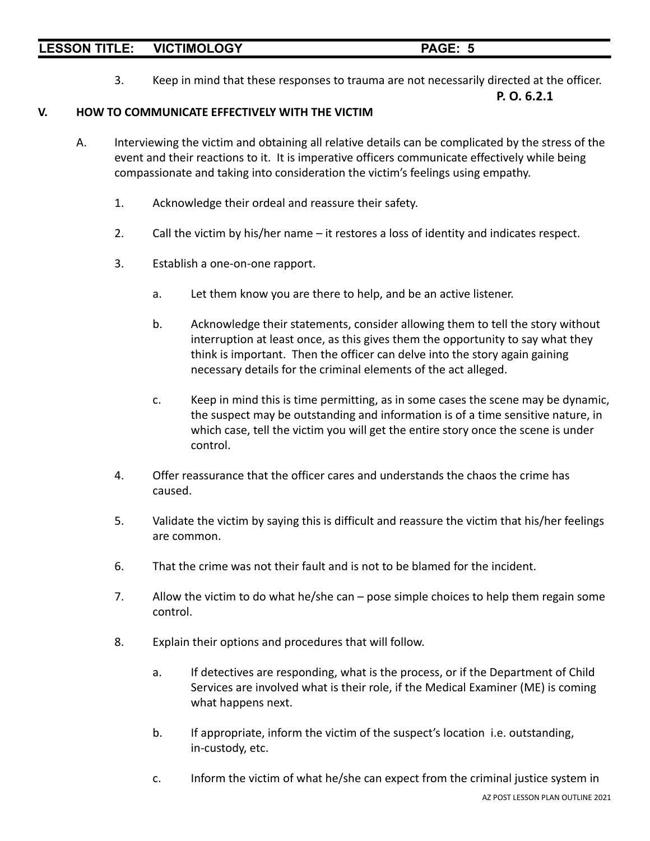3. Keep in mind that these responses to trauma are not necessarily directed at the officer.

**P. O. 6.2.1**

#### **V. HOW TO COMMUNICATE EFFECTIVELY WITH THE VICTIM**

- A. Interviewing the victim and obtaining all relative details can be complicated by the stress of the event and their reactions to it. It is imperative officers communicate effectively while being compassionate and taking into consideration the victim's feelings using empathy.
	- 1. Acknowledge their ordeal and reassure their safety.
	- 2. Call the victim by his/her name it restores a loss of identity and indicates respect.
	- 3. Establish a one-on-one rapport.
		- a. Let them know you are there to help, and be an active listener.
		- b. Acknowledge their statements, consider allowing them to tell the story without interruption at least once, as this gives them the opportunity to say what they think is important. Then the officer can delve into the story again gaining necessary details for the criminal elements of the act alleged.
		- c. Keep in mind this is time permitting, as in some cases the scene may be dynamic, the suspect may be outstanding and information is of a time sensitive nature, in which case, tell the victim you will get the entire story once the scene is under control.
	- 4. Offer reassurance that the officer cares and understands the chaos the crime has caused.
	- 5. Validate the victim by saying this is difficult and reassure the victim that his/her feelings are common.
	- 6. That the crime was not their fault and is not to be blamed for the incident.
	- 7. Allow the victim to do what he/she can pose simple choices to help them regain some control.
	- 8. Explain their options and procedures that will follow.
		- a. If detectives are responding, what is the process, or if the Department of Child Services are involved what is their role, if the Medical Examiner (ME) is coming what happens next.
		- b. If appropriate, inform the victim of the suspect's location i.e. outstanding, in-custody, etc.
		- c. Inform the victim of what he/she can expect from the criminal justice system in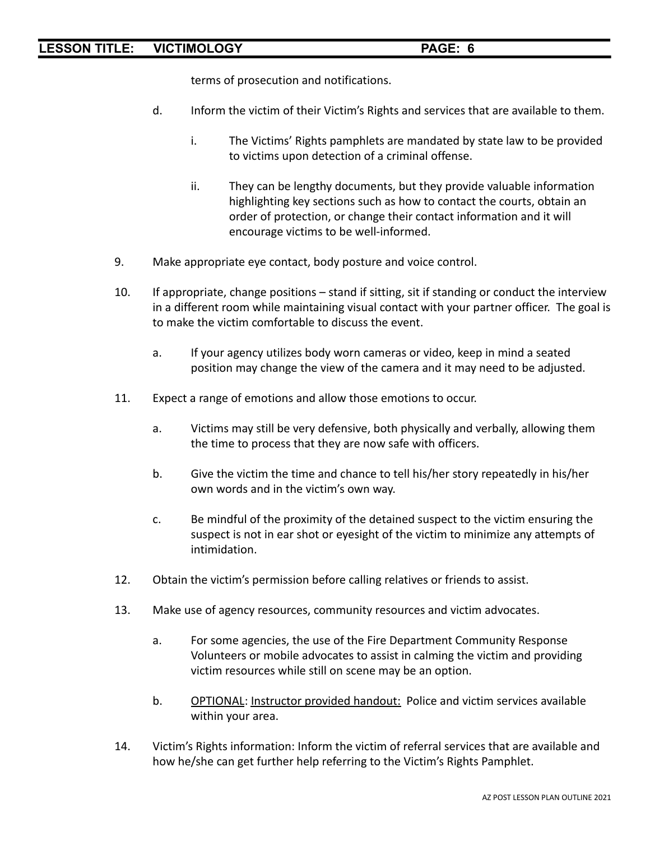terms of prosecution and notifications.

- d. Inform the victim of their Victim's Rights and services that are available to them.
	- i. The Victims' Rights pamphlets are mandated by state law to be provided to victims upon detection of a criminal offense.
	- ii. They can be lengthy documents, but they provide valuable information highlighting key sections such as how to contact the courts, obtain an order of protection, or change their contact information and it will encourage victims to be well-informed.
- 9. Make appropriate eye contact, body posture and voice control.
- 10. If appropriate, change positions stand if sitting, sit if standing or conduct the interview in a different room while maintaining visual contact with your partner officer. The goal is to make the victim comfortable to discuss the event.
	- a. If your agency utilizes body worn cameras or video, keep in mind a seated position may change the view of the camera and it may need to be adjusted.
- 11. Expect a range of emotions and allow those emotions to occur.
	- a. Victims may still be very defensive, both physically and verbally, allowing them the time to process that they are now safe with officers.
	- b. Give the victim the time and chance to tell his/her story repeatedly in his/her own words and in the victim's own way.
	- c. Be mindful of the proximity of the detained suspect to the victim ensuring the suspect is not in ear shot or eyesight of the victim to minimize any attempts of intimidation.
- 12. Obtain the victim's permission before calling relatives or friends to assist.
- 13. Make use of agency resources, community resources and victim advocates.
	- a. For some agencies, the use of the Fire Department Community Response Volunteers or mobile advocates to assist in calming the victim and providing victim resources while still on scene may be an option.
	- b. OPTIONAL: Instructor provided handout: Police and victim services available within your area.
- 14. Victim's Rights information: Inform the victim of referral services that are available and how he/she can get further help referring to the Victim's Rights Pamphlet.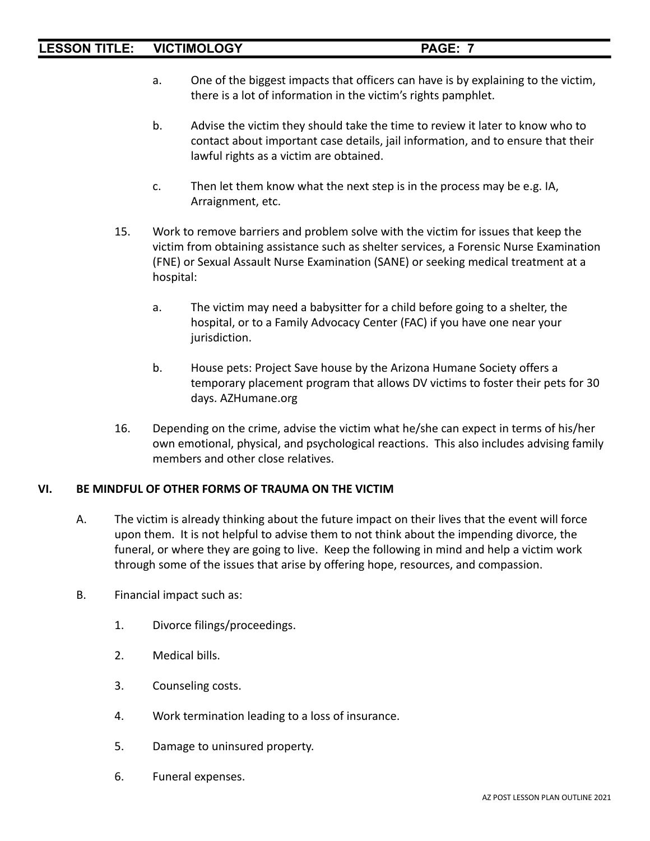- a. One of the biggest impacts that officers can have is by explaining to the victim, there is a lot of information in the victim's rights pamphlet.
- b. Advise the victim they should take the time to review it later to know who to contact about important case details, jail information, and to ensure that their lawful rights as a victim are obtained.
- c. Then let them know what the next step is in the process may be e.g. IA, Arraignment, etc.
- 15. Work to remove barriers and problem solve with the victim for issues that keep the victim from obtaining assistance such as shelter services, a Forensic Nurse Examination (FNE) or Sexual Assault Nurse Examination (SANE) or seeking medical treatment at a hospital:
	- a. The victim may need a babysitter for a child before going to a shelter, the hospital, or to a Family Advocacy Center (FAC) if you have one near your jurisdiction.
	- b. House pets: Project Save house by the Arizona Humane Society offers a temporary placement program that allows DV victims to foster their pets for 30 days. AZHumane.org
- 16. Depending on the crime, advise the victim what he/she can expect in terms of his/her own emotional, physical, and psychological reactions. This also includes advising family members and other close relatives.

# **VI. BE MINDFUL OF OTHER FORMS OF TRAUMA ON THE VICTIM**

- A. The victim is already thinking about the future impact on their lives that the event will force upon them. It is not helpful to advise them to not think about the impending divorce, the funeral, or where they are going to live. Keep the following in mind and help a victim work through some of the issues that arise by offering hope, resources, and compassion.
- B. Financial impact such as:
	- 1. Divorce filings/proceedings.
	- 2. Medical bills.
	- 3. Counseling costs.
	- 4. Work termination leading to a loss of insurance.
	- 5. Damage to uninsured property.
	- 6. Funeral expenses.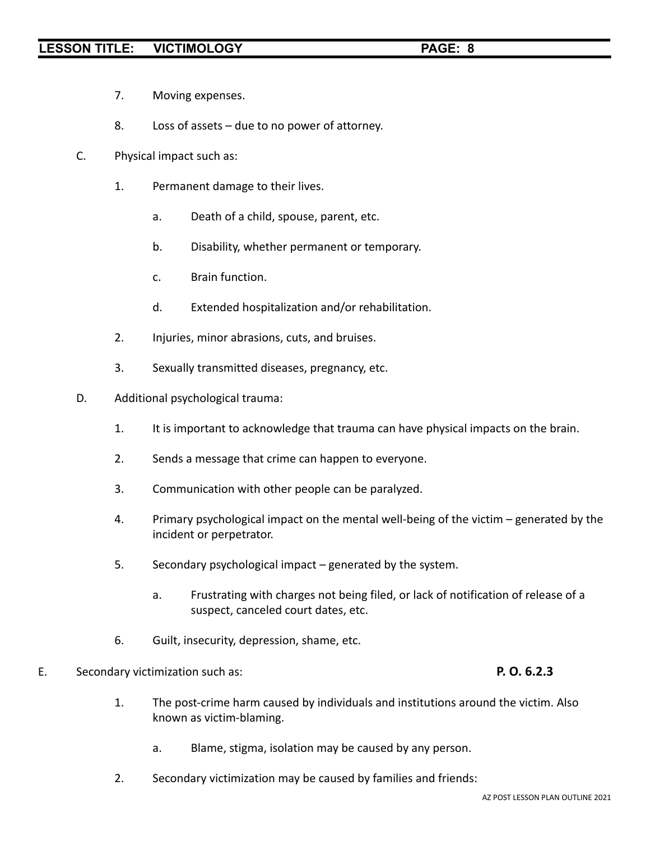- 7. Moving expenses.
- 8. Loss of assets due to no power of attorney.
- C. Physical impact such as:
	- 1. Permanent damage to their lives.
		- a. Death of a child, spouse, parent, etc.
		- b. Disability, whether permanent or temporary.
		- c. Brain function.
		- d. Extended hospitalization and/or rehabilitation.
	- 2. Injuries, minor abrasions, cuts, and bruises.
	- 3. Sexually transmitted diseases, pregnancy, etc.
- D. Additional psychological trauma:
	- 1. It is important to acknowledge that trauma can have physical impacts on the brain.
	- 2. Sends a message that crime can happen to everyone.
	- 3. Communication with other people can be paralyzed.
	- 4. Primary psychological impact on the mental well-being of the victim generated by the incident or perpetrator.
	- 5. Secondary psychological impact generated by the system.
		- a. Frustrating with charges not being filed, or lack of notification of release of a suspect, canceled court dates, etc.
	- 6. Guilt, insecurity, depression, shame, etc.

#### E. Secondary victimization such as: **P. O. 6.2.3**

- 1. The post-crime harm caused by individuals and institutions around the victim. Also known as victim-blaming.
	- a. Blame, stigma, isolation may be caused by any person.
- 2. Secondary victimization may be caused by families and friends: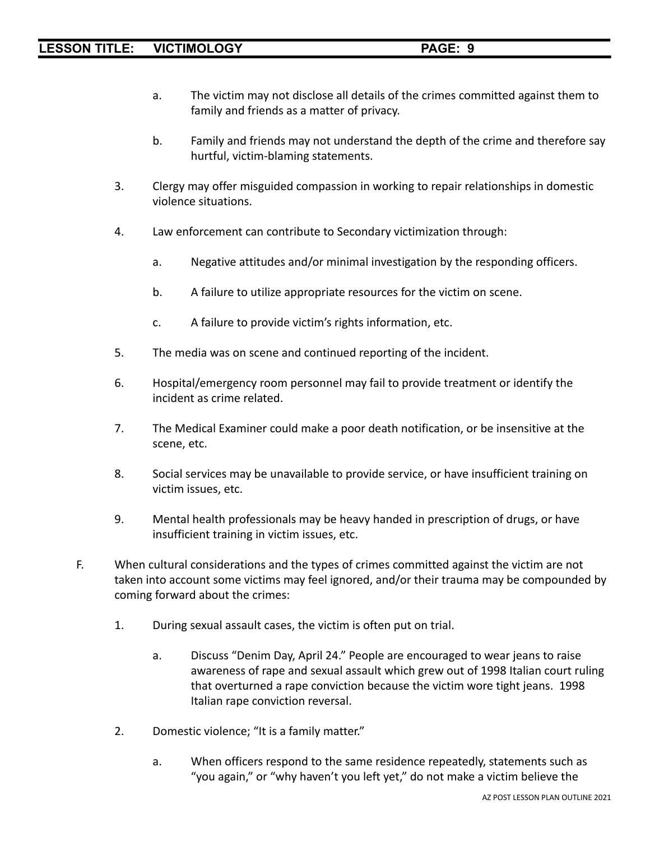- a. The victim may not disclose all details of the crimes committed against them to family and friends as a matter of privacy.
- b. Family and friends may not understand the depth of the crime and therefore say hurtful, victim-blaming statements.
- 3. Clergy may offer misguided compassion in working to repair relationships in domestic violence situations.
- 4. Law enforcement can contribute to Secondary victimization through:
	- a. Negative attitudes and/or minimal investigation by the responding officers.
	- b. A failure to utilize appropriate resources for the victim on scene.
	- c. A failure to provide victim's rights information, etc.
- 5. The media was on scene and continued reporting of the incident.
- 6. Hospital/emergency room personnel may fail to provide treatment or identify the incident as crime related.
- 7. The Medical Examiner could make a poor death notification, or be insensitive at the scene, etc.
- 8. Social services may be unavailable to provide service, or have insufficient training on victim issues, etc.
- 9. Mental health professionals may be heavy handed in prescription of drugs, or have insufficient training in victim issues, etc.
- F. When cultural considerations and the types of crimes committed against the victim are not taken into account some victims may feel ignored, and/or their trauma may be compounded by coming forward about the crimes:
	- 1. During sexual assault cases, the victim is often put on trial.
		- a. Discuss "Denim Day, April 24." People are encouraged to wear jeans to raise awareness of rape and sexual assault which grew out of 1998 Italian court ruling that overturned a rape conviction because the victim wore tight jeans. 1998 Italian rape conviction reversal.
	- 2. Domestic violence; "It is a family matter."
		- a. When officers respond to the same residence repeatedly, statements such as "you again," or "why haven't you left yet," do not make a victim believe the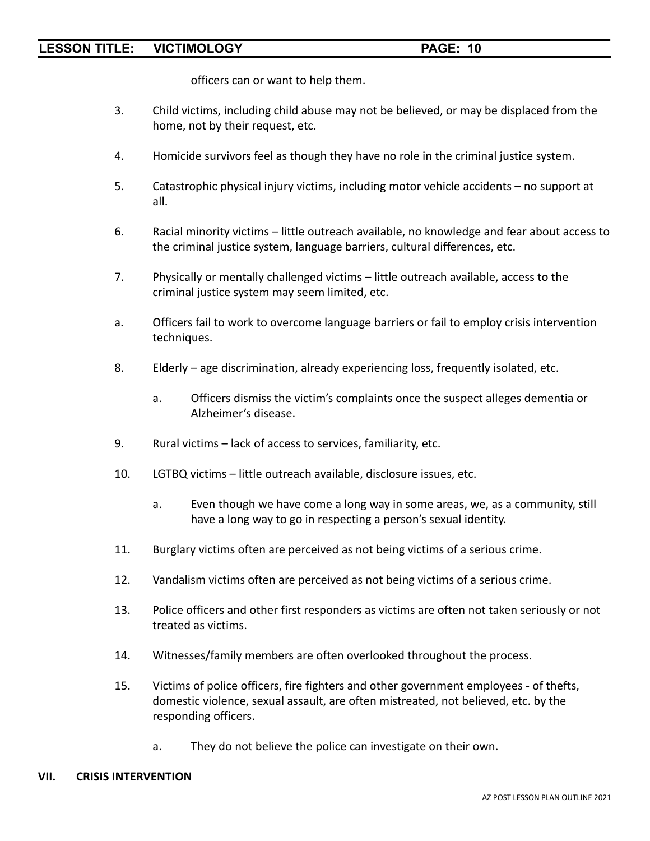officers can or want to help them.

- 3. Child victims, including child abuse may not be believed, or may be displaced from the home, not by their request, etc.
- 4. Homicide survivors feel as though they have no role in the criminal justice system.
- 5. Catastrophic physical injury victims, including motor vehicle accidents no support at all.
- 6. Racial minority victims little outreach available, no knowledge and fear about access to the criminal justice system, language barriers, cultural differences, etc.
- 7. Physically or mentally challenged victims little outreach available, access to the criminal justice system may seem limited, etc.
- a. Officers fail to work to overcome language barriers or fail to employ crisis intervention techniques.
- 8. Elderly age discrimination, already experiencing loss, frequently isolated, etc.
	- a. Officers dismiss the victim's complaints once the suspect alleges dementia or Alzheimer's disease.
- 9. Rural victims lack of access to services, familiarity, etc.
- 10. LGTBQ victims little outreach available, disclosure issues, etc.
	- a. Even though we have come a long way in some areas, we, as a community, still have a long way to go in respecting a person's sexual identity.
- 11. Burglary victims often are perceived as not being victims of a serious crime.
- 12. Vandalism victims often are perceived as not being victims of a serious crime.
- 13. Police officers and other first responders as victims are often not taken seriously or not treated as victims.
- 14. Witnesses/family members are often overlooked throughout the process.
- 15. Victims of police officers, fire fighters and other government employees of thefts, domestic violence, sexual assault, are often mistreated, not believed, etc. by the responding officers.
	- a. They do not believe the police can investigate on their own.

#### **VII. CRISIS INTERVENTION**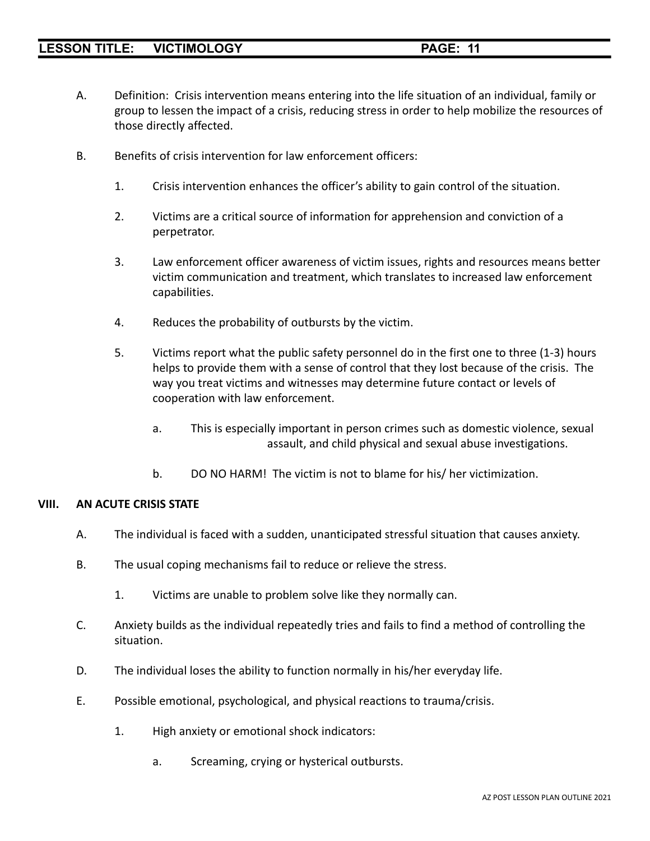- A. Definition: Crisis intervention means entering into the life situation of an individual, family or group to lessen the impact of a crisis, reducing stress in order to help mobilize the resources of those directly affected.
- B. Benefits of crisis intervention for law enforcement officers:
	- 1. Crisis intervention enhances the officer's ability to gain control of the situation.
	- 2. Victims are a critical source of information for apprehension and conviction of a perpetrator.
	- 3. Law enforcement officer awareness of victim issues, rights and resources means better victim communication and treatment, which translates to increased law enforcement capabilities.
	- 4. Reduces the probability of outbursts by the victim.
	- 5. Victims report what the public safety personnel do in the first one to three (1-3) hours helps to provide them with a sense of control that they lost because of the crisis. The way you treat victims and witnesses may determine future contact or levels of cooperation with law enforcement.
		- a. This is especially important in person crimes such as domestic violence, sexual assault, and child physical and sexual abuse investigations.
		- b. DO NO HARM! The victim is not to blame for his/ her victimization.

#### **VIII. AN ACUTE CRISIS STATE**

- A. The individual is faced with a sudden, unanticipated stressful situation that causes anxiety.
- B. The usual coping mechanisms fail to reduce or relieve the stress.
	- 1. Victims are unable to problem solve like they normally can.
- C. Anxiety builds as the individual repeatedly tries and fails to find a method of controlling the situation.
- D. The individual loses the ability to function normally in his/her everyday life.
- E. Possible emotional, psychological, and physical reactions to trauma/crisis.
	- 1. High anxiety or emotional shock indicators:
		- a. Screaming, crying or hysterical outbursts.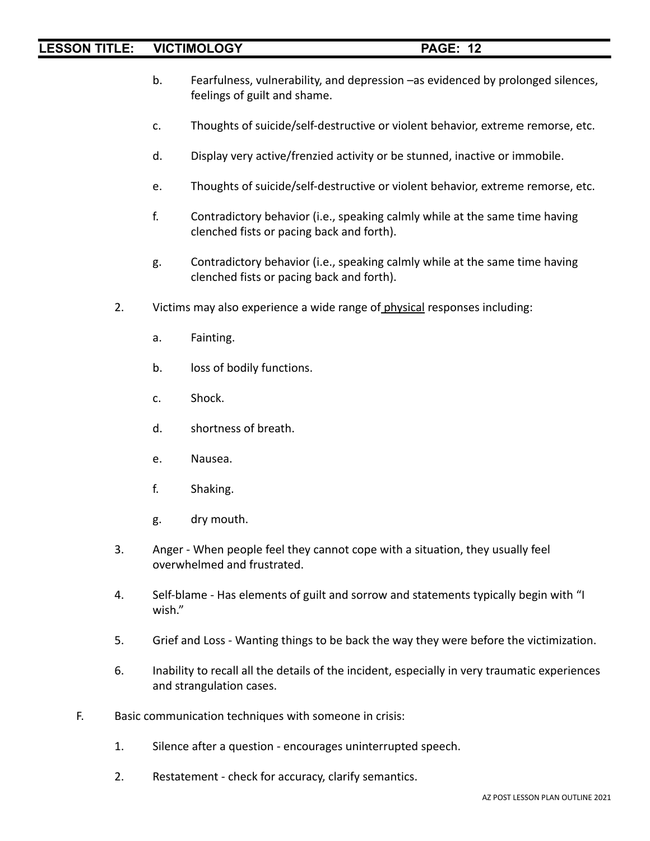- b. Fearfulness, vulnerability, and depression –as evidenced by prolonged silences, feelings of guilt and shame.
- c. Thoughts of suicide/self-destructive or violent behavior, extreme remorse, etc.
- d. Display very active/frenzied activity or be stunned, inactive or immobile.
- e. Thoughts of suicide/self-destructive or violent behavior, extreme remorse, etc.
- f. Contradictory behavior (i.e., speaking calmly while at the same time having clenched fists or pacing back and forth).
- g. Contradictory behavior (i.e., speaking calmly while at the same time having clenched fists or pacing back and forth).
- 2. Victims may also experience a wide range of physical responses including:
	- a. Fainting.
	- b. loss of bodily functions.
	- c. Shock.
	- d. shortness of breath.
	- e. Nausea.
	- f. Shaking.
	- g. dry mouth.
- 3. Anger When people feel they cannot cope with a situation, they usually feel overwhelmed and frustrated.
- 4. Self-blame Has elements of guilt and sorrow and statements typically begin with "I wish."
- 5. Grief and Loss Wanting things to be back the way they were before the victimization.
- 6. Inability to recall all the details of the incident, especially in very traumatic experiences and strangulation cases.
- F. Basic communication techniques with someone in crisis:
	- 1. Silence after a question encourages uninterrupted speech.
	- 2. Restatement check for accuracy, clarify semantics.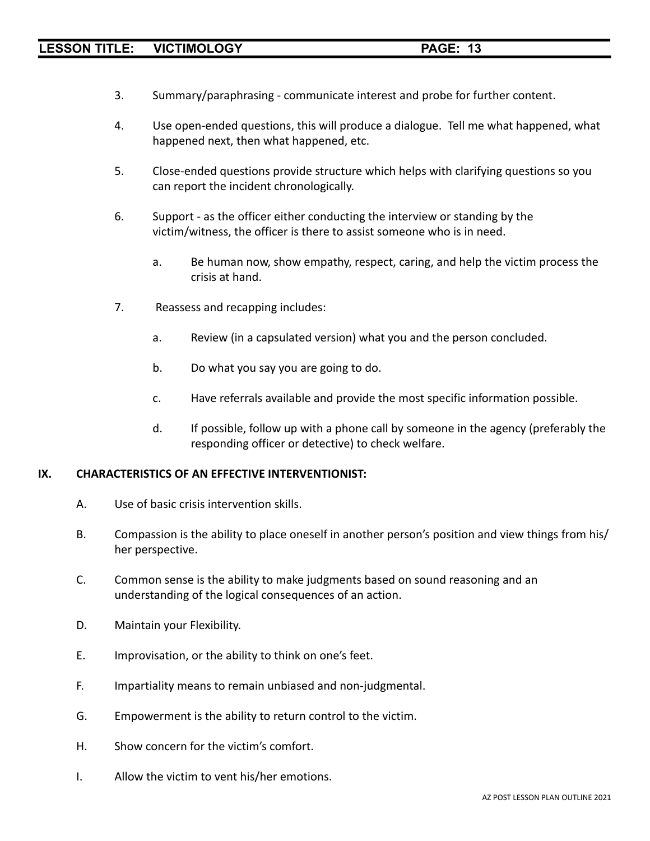- 3. Summary/paraphrasing communicate interest and probe for further content.
- 4. Use open-ended questions, this will produce a dialogue. Tell me what happened, what happened next, then what happened, etc.
- 5. Close-ended questions provide structure which helps with clarifying questions so you can report the incident chronologically.
- 6. Support as the officer either conducting the interview or standing by the victim/witness, the officer is there to assist someone who is in need.
	- a. Be human now, show empathy, respect, caring, and help the victim process the crisis at hand.
- 7. Reassess and recapping includes:
	- a. Review (in a capsulated version) what you and the person concluded.
	- b. Do what you say you are going to do.
	- c. Have referrals available and provide the most specific information possible.
	- d. If possible, follow up with a phone call by someone in the agency (preferably the responding officer or detective) to check welfare.

#### **IX. CHARACTERISTICS OF AN EFFECTIVE INTERVENTIONIST:**

- A. Use of basic crisis intervention skills.
- B. Compassion is the ability to place oneself in another person's position and view things from his/ her perspective.
- C. Common sense is the ability to make judgments based on sound reasoning and an understanding of the logical consequences of an action.
- D. Maintain your Flexibility.
- E. Improvisation, or the ability to think on one's feet.
- F. Impartiality means to remain unbiased and non-judgmental.
- G. Empowerment is the ability to return control to the victim.
- H. Show concern for the victim's comfort.
- I. Allow the victim to vent his/her emotions.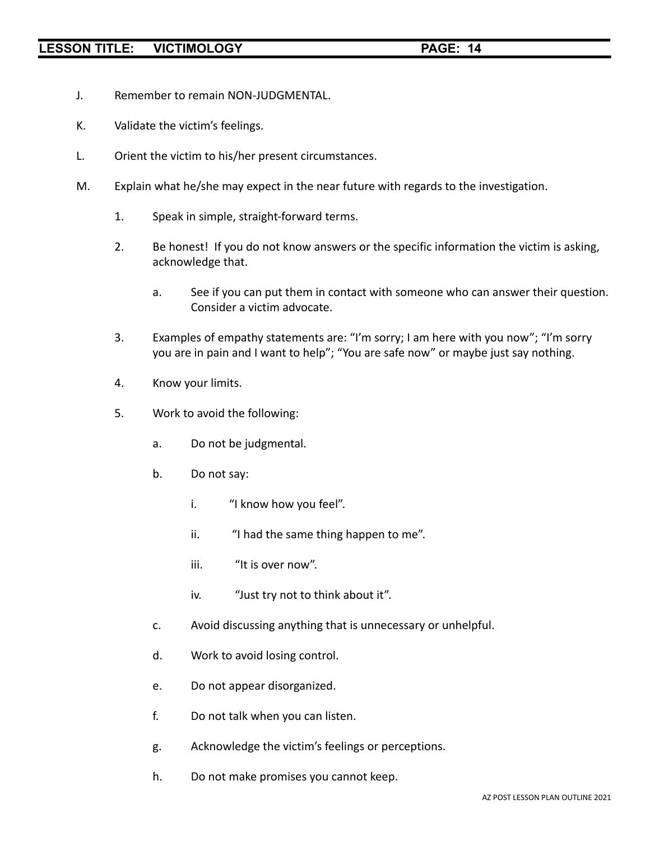- J. Remember to remain NON-JUDGMENTAL.
- K. Validate the victim's feelings.
- L. Orient the victim to his/her present circumstances.
- M. Explain what he/she may expect in the near future with regards to the investigation.
	- 1. Speak in simple, straight-forward terms.
	- 2. Be honest! If you do not know answers or the specific information the victim is asking, acknowledge that.
		- a. See if you can put them in contact with someone who can answer their question. Consider a victim advocate.
	- 3. Examples of empathy statements are: "I'm sorry; I am here with you now"; "I'm sorry you are in pain and I want to help"; "You are safe now" or maybe just say nothing.
	- 4. Know your limits.
	- 5. Work to avoid the following:
		- a. Do not be judgmental.
		- b. Do not say:
			- i. "I know how you feel".
			- ii. "I had the same thing happen to me".
			- iii. "It is over now".
			- iv. "Just try not to think about it".
		- c. Avoid discussing anything that is unnecessary or unhelpful.
		- d. Work to avoid losing control.
		- e. Do not appear disorganized.
		- f. Do not talk when you can listen.
		- g. Acknowledge the victim's feelings or perceptions.
		- h. Do not make promises you cannot keep.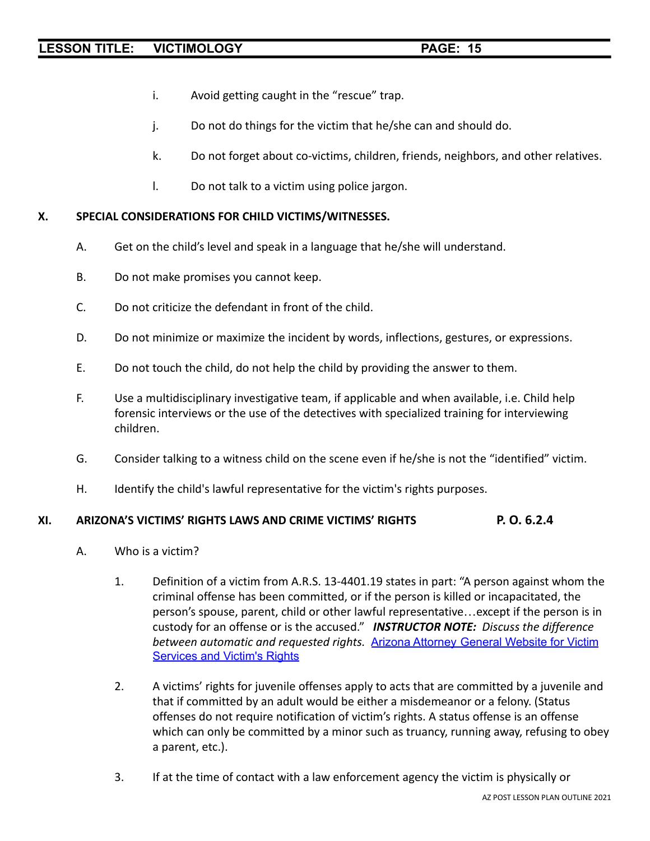- i. Avoid getting caught in the "rescue" trap.
- j. Do not do things for the victim that he/she can and should do.
- k. Do not forget about co-victims, children, friends, neighbors, and other relatives.
- l. Do not talk to a victim using police jargon.

### **X. SPECIAL CONSIDERATIONS FOR CHILD VICTIMS/WITNESSES.**

- A. Get on the child's level and speak in a language that he/she will understand.
- B. Do not make promises you cannot keep.
- C. Do not criticize the defendant in front of the child.
- D. Do not minimize or maximize the incident by words, inflections, gestures, or expressions.
- E. Do not touch the child, do not help the child by providing the answer to them.
- F. Use a multidisciplinary investigative team, if applicable and when available, i.e. Child help forensic interviews or the use of the detectives with specialized training for interviewing children.
- G. Consider talking to a witness child on the scene even if he/she is not the "identified" victim.
- H. Identify the child's lawful representative for the victim's rights purposes.

#### **XI. ARIZONA'S VICTIMS' RIGHTS LAWS AND CRIME VICTIMS' RIGHTS P. O. 6.2.4**

- A. Who is a victim?
	- 1. Definition of a victim from A.R.S. 13-4401.19 states in part: "A person against whom the criminal offense has been committed, or if the person is killed or incapacitated, the person's spouse, parent, child or other lawful representative…except if the person is in custody for an offense or is the accused." *INSTRUCTOR NOTE: Discuss the difference between automatic and requested rights.* Arizona [Attorney](https://www.azag.gov/criminal/victim-services) General Website for Victim [Services](https://www.azag.gov/criminal/victim-services) and Victim's Rights
	- 2. A victims' rights for juvenile offenses apply to acts that are committed by a juvenile and that if committed by an adult would be either a misdemeanor or a felony. (Status offenses do not require notification of victim's rights. A status offense is an offense which can only be committed by a minor such as truancy, running away, refusing to obey a parent, etc.).
	- 3. If at the time of contact with a law enforcement agency the victim is physically or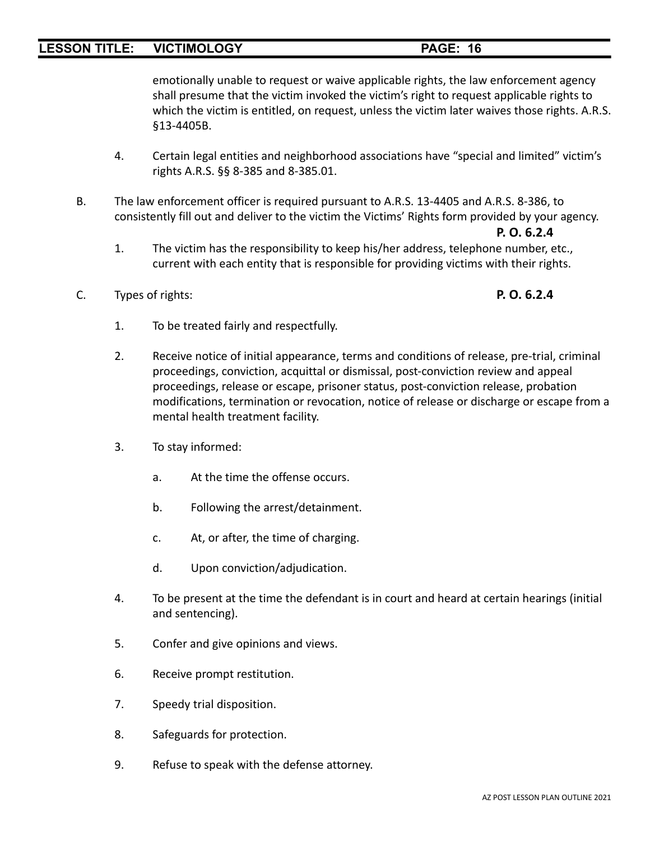emotionally unable to request or waive applicable rights, the law enforcement agency shall presume that the victim invoked the victim's right to request applicable rights to which the victim is entitled, on request, unless the victim later waives those rights. A.R.S. §13-4405B.

- 4. Certain legal entities and neighborhood associations have "special and limited" victim's rights A.R.S. §§ 8-385 and 8-385.01.
- B. The law enforcement officer is required pursuant to A.R.S. 13-4405 and A.R.S. 8-386, to consistently fill out and deliver to the victim the Victims' Rights form provided by your agency.

#### **P. O. 6.2.4**

- 1. The victim has the responsibility to keep his/her address, telephone number, etc., current with each entity that is responsible for providing victims with their rights.
- C. Types of rights: **P. O. 6.2.4**

- 1. To be treated fairly and respectfully.
- 2. Receive notice of initial appearance, terms and conditions of release, pre-trial, criminal proceedings, conviction, acquittal or dismissal, post-conviction review and appeal proceedings, release or escape, prisoner status, post-conviction release, probation modifications, termination or revocation, notice of release or discharge or escape from a mental health treatment facility.
- 3. To stay informed:
	- a. At the time the offense occurs.
	- b. Following the arrest/detainment.
	- c. At, or after, the time of charging.
	- d. Upon conviction/adjudication.
- 4. To be present at the time the defendant is in court and heard at certain hearings (initial and sentencing).
- 5. Confer and give opinions and views.
- 6. Receive prompt restitution.
- 7. Speedy trial disposition.
- 8. Safeguards for protection.
- 9. Refuse to speak with the defense attorney.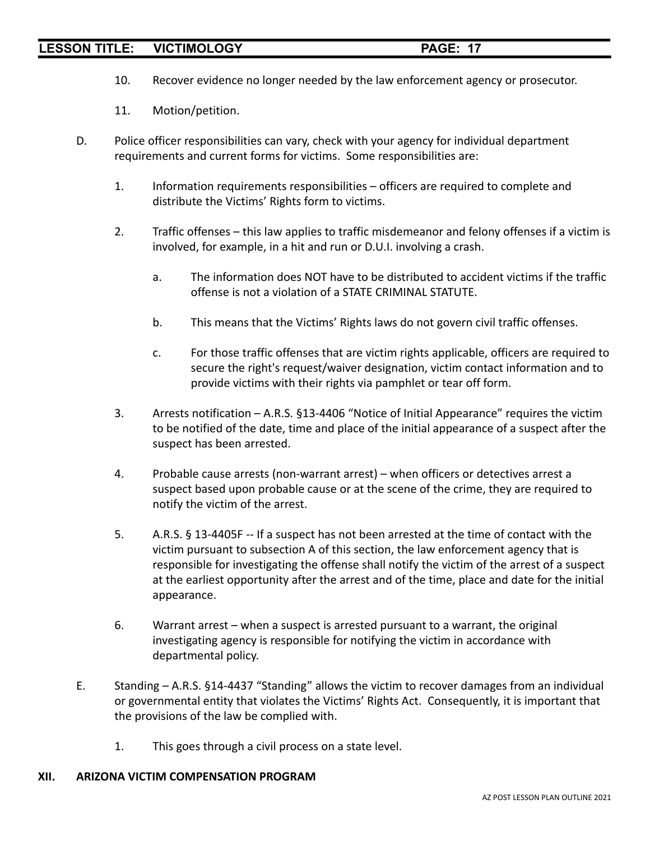- 10. Recover evidence no longer needed by the law enforcement agency or prosecutor.
- 11. Motion/petition.
- D. Police officer responsibilities can vary, check with your agency for individual department requirements and current forms for victims. Some responsibilities are:
	- 1. Information requirements responsibilities officers are required to complete and distribute the Victims' Rights form to victims.
	- 2. Traffic offenses this law applies to traffic misdemeanor and felony offenses if a victim is involved, for example, in a hit and run or D.U.I. involving a crash.
		- a. The information does NOT have to be distributed to accident victims if the traffic offense is not a violation of a STATE CRIMINAL STATUTE.
		- b. This means that the Victims' Rights laws do not govern civil traffic offenses.
		- c. For those traffic offenses that are victim rights applicable, officers are required to secure the right's request/waiver designation, victim contact information and to provide victims with their rights via pamphlet or tear off form.
	- 3. Arrests notification A.R.S. §13-4406 "Notice of Initial Appearance" requires the victim to be notified of the date, time and place of the initial appearance of a suspect after the suspect has been arrested.
	- 4. Probable cause arrests (non-warrant arrest) when officers or detectives arrest a suspect based upon probable cause or at the scene of the crime, they are required to notify the victim of the arrest.
	- 5. A.R.S. § 13-4405F -- If a suspect has not been arrested at the time of contact with the victim pursuant to subsection A of this section, the law enforcement agency that is responsible for investigating the offense shall notify the victim of the arrest of a suspect at the earliest opportunity after the arrest and of the time, place and date for the initial appearance.
	- 6. Warrant arrest when a suspect is arrested pursuant to a warrant, the original investigating agency is responsible for notifying the victim in accordance with departmental policy.
- E. Standing A.R.S. §14-4437 "Standing" allows the victim to recover damages from an individual or governmental entity that violates the Victims' Rights Act. Consequently, it is important that the provisions of the law be complied with.
	- 1. This goes through a civil process on a state level.

# **XII. ARIZONA VICTIM COMPENSATION PROGRAM**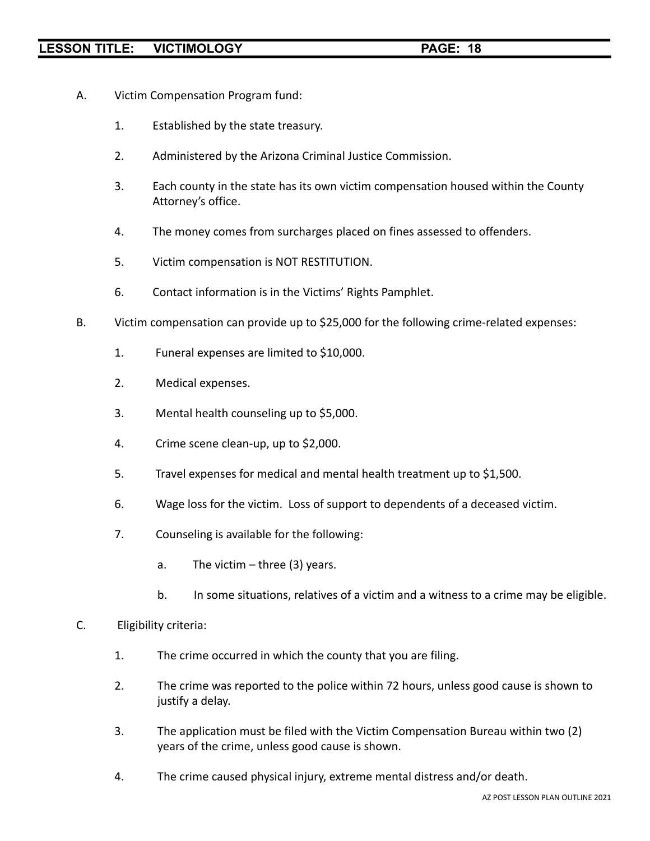- A. Victim Compensation Program fund:
	- 1. Established by the state treasury.
	- 2. Administered by the Arizona Criminal Justice Commission.
	- 3. Each county in the state has its own victim compensation housed within the County Attorney's office.
	- 4. The money comes from surcharges placed on fines assessed to offenders.
	- 5. Victim compensation is NOT RESTITUTION.
	- 6. Contact information is in the Victims' Rights Pamphlet.
- B. Victim compensation can provide up to \$25,000 for the following crime-related expenses:
	- 1. Funeral expenses are limited to \$10,000.
	- 2. Medical expenses.
	- 3. Mental health counseling up to \$5,000.
	- 4. Crime scene clean-up, up to \$2,000.
	- 5. Travel expenses for medical and mental health treatment up to \$1,500.
	- 6. Wage loss for the victim. Loss of support to dependents of a deceased victim.
	- 7. Counseling is available for the following:
		- a. The victim  $-$  three (3) years.
		- b. In some situations, relatives of a victim and a witness to a crime may be eligible.

#### C. Eligibility criteria:

- 1. The crime occurred in which the county that you are filing.
- 2. The crime was reported to the police within 72 hours, unless good cause is shown to justify a delay.
- 3. The application must be filed with the Victim Compensation Bureau within two (2) years of the crime, unless good cause is shown.
- 4. The crime caused physical injury, extreme mental distress and/or death.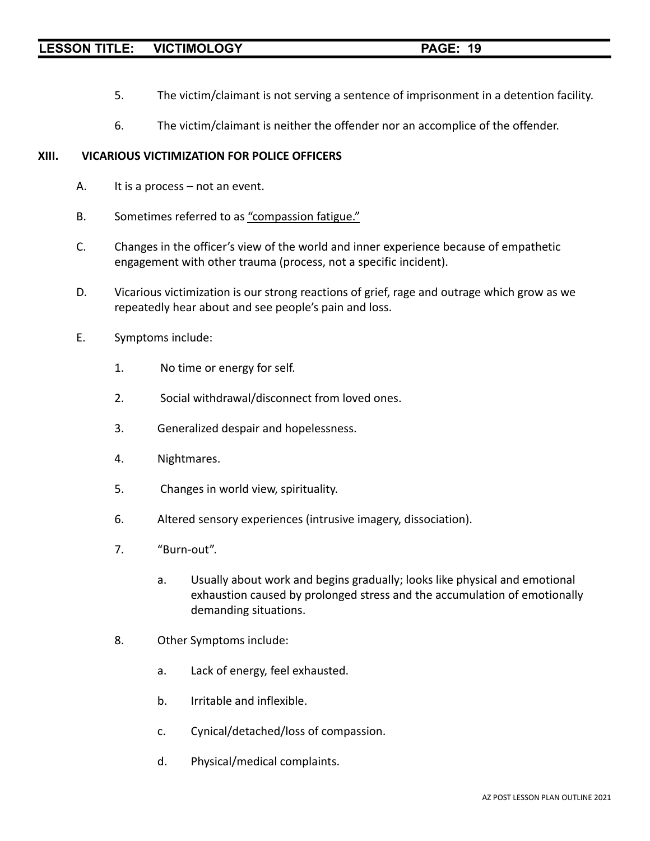- 5. The victim/claimant is not serving a sentence of imprisonment in a detention facility.
- 6. The victim/claimant is neither the offender nor an accomplice of the offender.

#### **XIII. VICARIOUS VICTIMIZATION FOR POLICE OFFICERS**

- A. It is a process not an event.
- B. Sometimes referred to as "compassion fatigue."
- C. Changes in the officer's view of the world and inner experience because of empathetic engagement with other trauma (process, not a specific incident).
- D. Vicarious victimization is our strong reactions of grief, rage and outrage which grow as we repeatedly hear about and see people's pain and loss.
- E. Symptoms include:
	- 1. No time or energy for self.
	- 2. Social withdrawal/disconnect from loved ones.
	- 3. Generalized despair and hopelessness.
	- 4. Nightmares.
	- 5. Changes in world view, spirituality.
	- 6. Altered sensory experiences (intrusive imagery, dissociation).
	- 7. "Burn-out".
		- a. Usually about work and begins gradually; looks like physical and emotional exhaustion caused by prolonged stress and the accumulation of emotionally demanding situations.
	- 8. Other Symptoms include:
		- a. Lack of energy, feel exhausted.
		- b. Irritable and inflexible.
		- c. Cynical/detached/loss of compassion.
		- d. Physical/medical complaints.